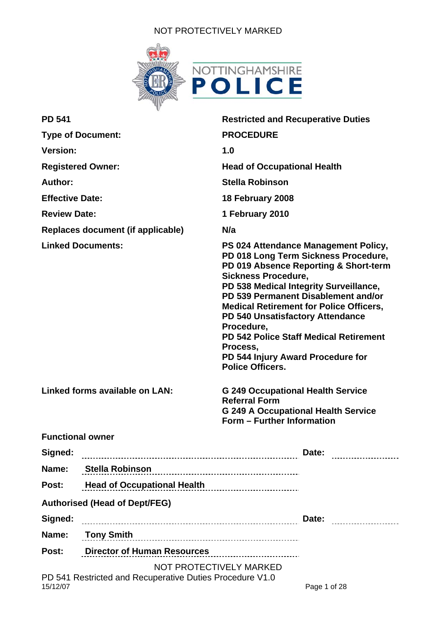

| <b>PD 541</b>            |                                                            | <b>Restricted and Recuperative Duties</b>                                                                                                                                                                                                                                                                                                                                                                                                                                                                         |  |  |  |
|--------------------------|------------------------------------------------------------|-------------------------------------------------------------------------------------------------------------------------------------------------------------------------------------------------------------------------------------------------------------------------------------------------------------------------------------------------------------------------------------------------------------------------------------------------------------------------------------------------------------------|--|--|--|
| <b>Type of Document:</b> |                                                            | <b>PROCEDURE</b>                                                                                                                                                                                                                                                                                                                                                                                                                                                                                                  |  |  |  |
| <b>Version:</b>          |                                                            | 1.0                                                                                                                                                                                                                                                                                                                                                                                                                                                                                                               |  |  |  |
| <b>Registered Owner:</b> |                                                            | <b>Head of Occupational Health</b>                                                                                                                                                                                                                                                                                                                                                                                                                                                                                |  |  |  |
| <b>Author:</b>           |                                                            | <b>Stella Robinson</b>                                                                                                                                                                                                                                                                                                                                                                                                                                                                                            |  |  |  |
| <b>Effective Date:</b>   |                                                            | 18 February 2008                                                                                                                                                                                                                                                                                                                                                                                                                                                                                                  |  |  |  |
| <b>Review Date:</b>      |                                                            | 1 February 2010                                                                                                                                                                                                                                                                                                                                                                                                                                                                                                   |  |  |  |
|                          | Replaces document (if applicable)                          | N/a                                                                                                                                                                                                                                                                                                                                                                                                                                                                                                               |  |  |  |
|                          | <b>Linked Documents:</b><br>Linked forms available on LAN: | PS 024 Attendance Management Policy,<br>PD 018 Long Term Sickness Procedure,<br>PD 019 Absence Reporting & Short-term<br><b>Sickness Procedure,</b><br>PD 538 Medical Integrity Surveillance,<br>PD 539 Permanent Disablement and/or<br><b>Medical Retirement for Police Officers,</b><br>PD 540 Unsatisfactory Attendance<br>Procedure,<br><b>PD 542 Police Staff Medical Retirement</b><br>Process,<br>PD 544 Injury Award Procedure for<br><b>Police Officers.</b><br><b>G 249 Occupational Health Service</b> |  |  |  |
|                          |                                                            | <b>Referral Form</b><br><b>G 249 A Occupational Health Service</b><br>Form - Further Information                                                                                                                                                                                                                                                                                                                                                                                                                  |  |  |  |
| <b>Functional owner</b>  |                                                            |                                                                                                                                                                                                                                                                                                                                                                                                                                                                                                                   |  |  |  |
| Signed:                  |                                                            | Date:                                                                                                                                                                                                                                                                                                                                                                                                                                                                                                             |  |  |  |
| Name:                    | <b>Stella Robinson</b>                                     |                                                                                                                                                                                                                                                                                                                                                                                                                                                                                                                   |  |  |  |
| Post:                    | <b>Head of Occupational Health</b>                         |                                                                                                                                                                                                                                                                                                                                                                                                                                                                                                                   |  |  |  |
|                          | <b>Authorised (Head of Dept/FEG)</b>                       |                                                                                                                                                                                                                                                                                                                                                                                                                                                                                                                   |  |  |  |
| Signed:                  |                                                            | Date:                                                                                                                                                                                                                                                                                                                                                                                                                                                                                                             |  |  |  |
| Name:                    | <b>Tony Smith</b>                                          |                                                                                                                                                                                                                                                                                                                                                                                                                                                                                                                   |  |  |  |
| Post:                    | <b>Director of Human Resources</b>                         |                                                                                                                                                                                                                                                                                                                                                                                                                                                                                                                   |  |  |  |
|                          | NOT PROTECTIVELY MARKED                                    |                                                                                                                                                                                                                                                                                                                                                                                                                                                                                                                   |  |  |  |
| 15/12/07                 | PD 541 Restricted and Recuperative Duties Procedure V1.0   | Page 1 of 28                                                                                                                                                                                                                                                                                                                                                                                                                                                                                                      |  |  |  |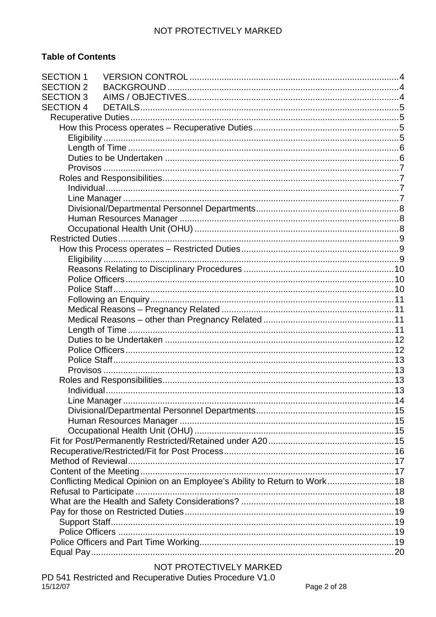# **Table of Contents**

| <b>SECTION 1</b> |                                                                           |  |
|------------------|---------------------------------------------------------------------------|--|
| <b>SECTION 2</b> |                                                                           |  |
| <b>SECTION 3</b> |                                                                           |  |
| <b>SECTION 4</b> |                                                                           |  |
|                  |                                                                           |  |
|                  |                                                                           |  |
|                  |                                                                           |  |
|                  |                                                                           |  |
|                  |                                                                           |  |
|                  |                                                                           |  |
|                  |                                                                           |  |
|                  |                                                                           |  |
|                  |                                                                           |  |
|                  |                                                                           |  |
|                  |                                                                           |  |
|                  |                                                                           |  |
|                  |                                                                           |  |
|                  |                                                                           |  |
|                  |                                                                           |  |
|                  |                                                                           |  |
|                  |                                                                           |  |
|                  |                                                                           |  |
|                  |                                                                           |  |
|                  |                                                                           |  |
|                  |                                                                           |  |
|                  |                                                                           |  |
|                  |                                                                           |  |
|                  |                                                                           |  |
|                  |                                                                           |  |
|                  |                                                                           |  |
|                  |                                                                           |  |
|                  |                                                                           |  |
|                  |                                                                           |  |
|                  |                                                                           |  |
|                  |                                                                           |  |
|                  |                                                                           |  |
|                  |                                                                           |  |
|                  |                                                                           |  |
|                  |                                                                           |  |
|                  |                                                                           |  |
|                  | Conflicting Medical Opinion on an Employee's Ability to Return to Work 18 |  |
|                  |                                                                           |  |
|                  |                                                                           |  |
|                  |                                                                           |  |
|                  |                                                                           |  |
|                  |                                                                           |  |
|                  |                                                                           |  |
|                  |                                                                           |  |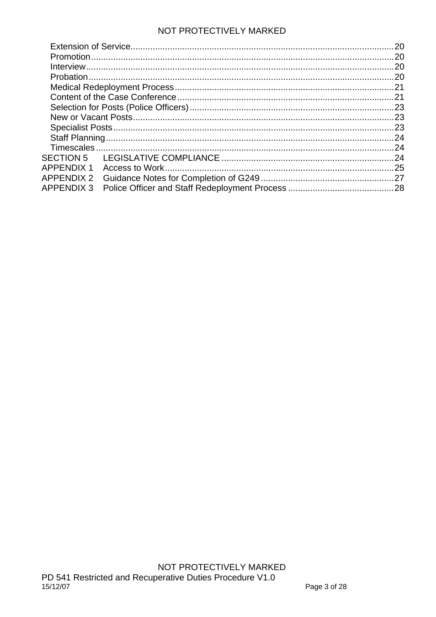| <b>SECTION 5</b>  |  |  |
|-------------------|--|--|
| <b>APPENDIX 1</b> |  |  |
| <b>APPENDIX 2</b> |  |  |
| <b>APPENDIX 3</b> |  |  |
|                   |  |  |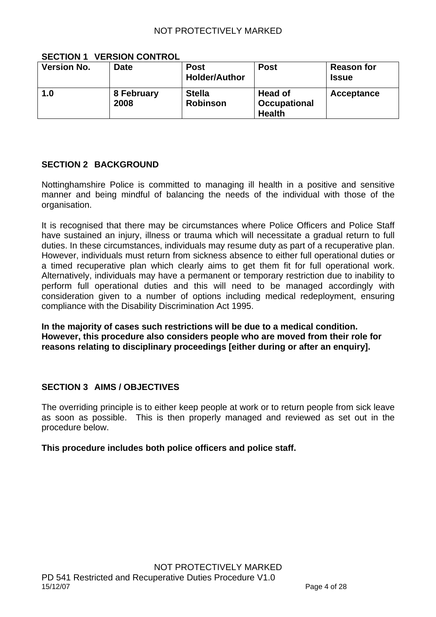## **SECTION 1 VERSION CONTROL**

<span id="page-3-0"></span>

| <b>Version No.</b> | <b>Date</b>        | <b>Post</b><br><b>Holder/Author</b> | <b>Post</b>                                     | <b>Reason for</b><br><b>Issue</b> |
|--------------------|--------------------|-------------------------------------|-------------------------------------------------|-----------------------------------|
| 1.0                | 8 February<br>2008 | <b>Stella</b><br><b>Robinson</b>    | <b>Head of</b><br>Occupational<br><b>Health</b> | Acceptance                        |

# <span id="page-3-1"></span>**SECTION 2 BACKGROUND**

Nottinghamshire Police is committed to managing ill health in a positive and sensitive manner and being mindful of balancing the needs of the individual with those of the organisation.

It is recognised that there may be circumstances where Police Officers and Police Staff have sustained an injury, illness or trauma which will necessitate a gradual return to full duties. In these circumstances, individuals may resume duty as part of a recuperative plan. However, individuals must return from sickness absence to either full operational duties or a timed recuperative plan which clearly aims to get them fit for full operational work. Alternatively, individuals may have a permanent or temporary restriction due to inability to perform full operational duties and this will need to be managed accordingly with consideration given to a number of options including medical redeployment, ensuring compliance with the Disability Discrimination Act 1995.

**In the majority of cases such restrictions will be due to a medical condition. However, this procedure also considers people who are moved from their role for reasons relating to disciplinary proceedings [either during or after an enquiry].** 

## <span id="page-3-2"></span>**SECTION 3 AIMS / OBJECTIVES**

The overriding principle is to either keep people at work or to return people from sick leave as soon as possible. This is then properly managed and reviewed as set out in the procedure below.

### **This procedure includes both police officers and police staff.**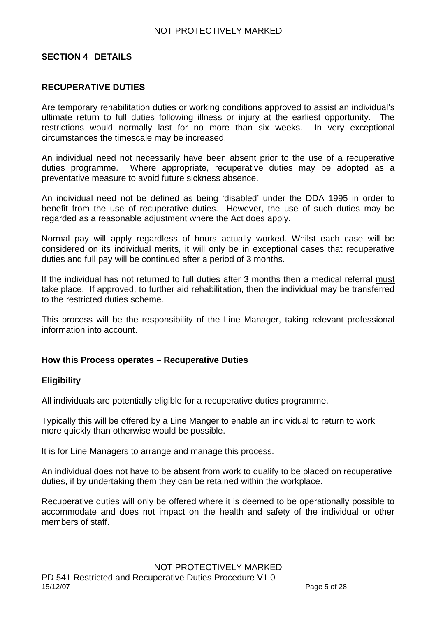### <span id="page-4-0"></span>**SECTION 4 DETAILS**

### <span id="page-4-1"></span>**RECUPERATIVE DUTIES**

Are temporary rehabilitation duties or working conditions approved to assist an individual's ultimate return to full duties following illness or injury at the earliest opportunity. The restrictions would normally last for no more than six weeks. In very exceptional circumstances the timescale may be increased.

An individual need not necessarily have been absent prior to the use of a recuperative duties programme. Where appropriate, recuperative duties may be adopted as a preventative measure to avoid future sickness absence.

An individual need not be defined as being 'disabled' under the DDA 1995 in order to benefit from the use of recuperative duties. However, the use of such duties may be regarded as a reasonable adjustment where the Act does apply.

Normal pay will apply regardless of hours actually worked. Whilst each case will be considered on its individual merits, it will only be in exceptional cases that recuperative duties and full pay will be continued after a period of 3 months.

If the individual has not returned to full duties after 3 months then a medical referral must take place. If approved, to further aid rehabilitation, then the individual may be transferred to the restricted duties scheme.

This process will be the responsibility of the Line Manager, taking relevant professional information into account.

### <span id="page-4-2"></span>**How this Process operates – Recuperative Duties**

### <span id="page-4-3"></span>**Eligibility**

All individuals are potentially eligible for a recuperative duties programme.

Typically this will be offered by a Line Manger to enable an individual to return to work more quickly than otherwise would be possible.

It is for Line Managers to arrange and manage this process.

An individual does not have to be absent from work to qualify to be placed on recuperative duties, if by undertaking them they can be retained within the workplace.

Recuperative duties will only be offered where it is deemed to be operationally possible to accommodate and does not impact on the health and safety of the individual or other members of staff.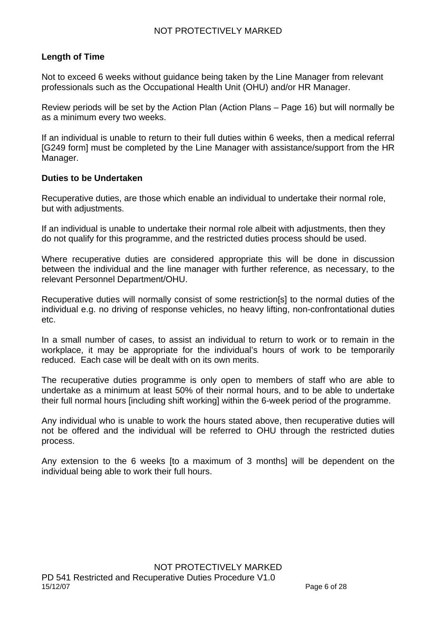# <span id="page-5-0"></span>**Length of Time**

Not to exceed 6 weeks without guidance being taken by the Line Manager from relevant professionals such as the Occupational Health Unit (OHU) and/or HR Manager.

Review periods will be set by the Action Plan (Action Plans – Page 16) but will normally be as a minimum every two weeks.

If an individual is unable to return to their full duties within 6 weeks, then a medical referral [G249 form] must be completed by the Line Manager with assistance/support from the HR Manager.

### <span id="page-5-1"></span>**Duties to be Undertaken**

Recuperative duties, are those which enable an individual to undertake their normal role, but with adjustments.

If an individual is unable to undertake their normal role albeit with adjustments, then they do not qualify for this programme, and the restricted duties process should be used.

Where recuperative duties are considered appropriate this will be done in discussion between the individual and the line manager with further reference, as necessary, to the relevant Personnel Department/OHU.

Recuperative duties will normally consist of some restriction[s] to the normal duties of the individual e.g. no driving of response vehicles, no heavy lifting, non-confrontational duties etc.

In a small number of cases, to assist an individual to return to work or to remain in the workplace, it may be appropriate for the individual's hours of work to be temporarily reduced. Each case will be dealt with on its own merits.

The recuperative duties programme is only open to members of staff who are able to undertake as a minimum at least 50% of their normal hours, and to be able to undertake their full normal hours [including shift working] within the 6-week period of the programme.

Any individual who is unable to work the hours stated above, then recuperative duties will not be offered and the individual will be referred to OHU through the restricted duties process.

Any extension to the 6 weeks [to a maximum of 3 months] will be dependent on the individual being able to work their full hours.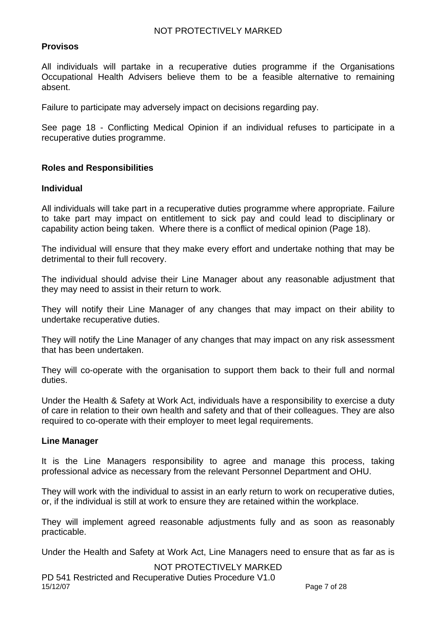### <span id="page-6-0"></span>**Provisos**

All individuals will partake in a recuperative duties programme if the Organisations Occupational Health Advisers believe them to be a feasible alternative to remaining absent.

Failure to participate may adversely impact on decisions regarding pay.

See page 18 - Conflicting Medical Opinion if an individual refuses to participate in a recuperative duties programme.

### <span id="page-6-1"></span>**Roles and Responsibilities**

#### <span id="page-6-2"></span>**Individual**

All individuals will take part in a recuperative duties programme where appropriate. Failure to take part may impact on entitlement to sick pay and could lead to disciplinary or capability action being taken. Where there is a conflict of medical opinion (Page 18).

The individual will ensure that they make every effort and undertake nothing that may be detrimental to their full recovery.

The individual should advise their Line Manager about any reasonable adjustment that they may need to assist in their return to work.

They will notify their Line Manager of any changes that may impact on their ability to undertake recuperative duties.

They will notify the Line Manager of any changes that may impact on any risk assessment that has been undertaken.

They will co-operate with the organisation to support them back to their full and normal duties.

Under the Health & Safety at Work Act, individuals have a responsibility to exercise a duty of care in relation to their own health and safety and that of their colleagues. They are also required to co-operate with their employer to meet legal requirements.

#### <span id="page-6-3"></span>**Line Manager**

It is the Line Managers responsibility to agree and manage this process, taking professional advice as necessary from the relevant Personnel Department and OHU.

They will work with the individual to assist in an early return to work on recuperative duties, or, if the individual is still at work to ensure they are retained within the workplace.

They will implement agreed reasonable adjustments fully and as soon as reasonably practicable.

Under the Health and Safety at Work Act, Line Managers need to ensure that as far as is

#### NOT PROTECTIVELY MARKED

PD 541 Restricted and Recuperative Duties Procedure V1.0 15/12/07 Page 7 of 28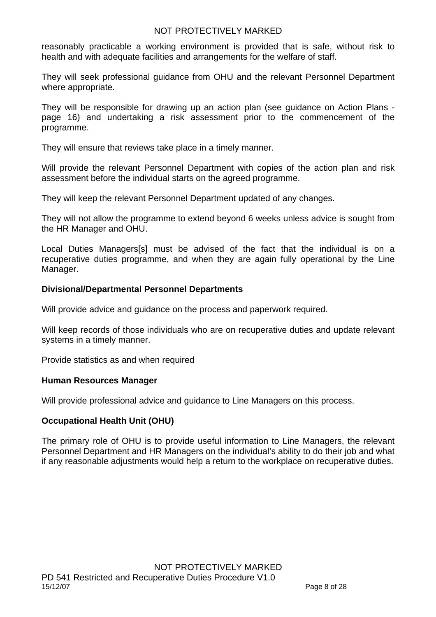reasonably practicable a working environment is provided that is safe, without risk to health and with adequate facilities and arrangements for the welfare of staff.

They will seek professional guidance from OHU and the relevant Personnel Department where appropriate.

They will be responsible for drawing up an action plan (see guidance on Action Plans page 16) and undertaking a risk assessment prior to the commencement of the programme.

They will ensure that reviews take place in a timely manner.

Will provide the relevant Personnel Department with copies of the action plan and risk assessment before the individual starts on the agreed programme.

They will keep the relevant Personnel Department updated of any changes.

They will not allow the programme to extend beyond 6 weeks unless advice is sought from the HR Manager and OHU.

Local Duties Managers[s] must be advised of the fact that the individual is on a recuperative duties programme, and when they are again fully operational by the Line Manager.

### <span id="page-7-0"></span>**Divisional/Departmental Personnel Departments**

Will provide advice and guidance on the process and paperwork required.

Will keep records of those individuals who are on recuperative duties and update relevant systems in a timely manner.

Provide statistics as and when required

## <span id="page-7-1"></span>**Human Resources Manager**

Will provide professional advice and guidance to Line Managers on this process.

## <span id="page-7-2"></span>**Occupational Health Unit (OHU)**

The primary role of OHU is to provide useful information to Line Managers, the relevant Personnel Department and HR Managers on the individual's ability to do their job and what if any reasonable adjustments would help a return to the workplace on recuperative duties.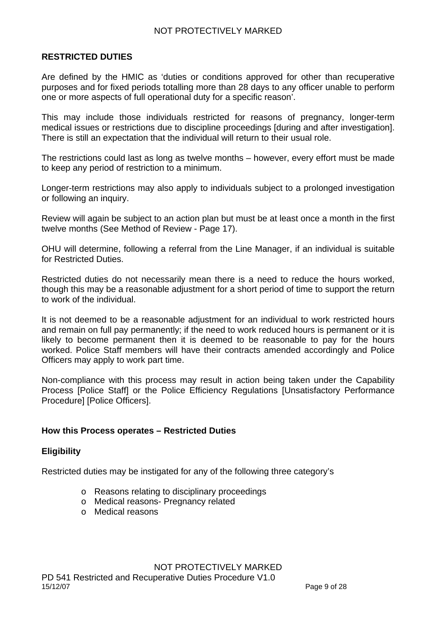### <span id="page-8-0"></span>**RESTRICTED DUTIES**

Are defined by the HMIC as 'duties or conditions approved for other than recuperative purposes and for fixed periods totalling more than 28 days to any officer unable to perform one or more aspects of full operational duty for a specific reason'.

This may include those individuals restricted for reasons of pregnancy, longer-term medical issues or restrictions due to discipline proceedings [during and after investigation]. There is still an expectation that the individual will return to their usual role.

The restrictions could last as long as twelve months – however, every effort must be made to keep any period of restriction to a minimum.

Longer-term restrictions may also apply to individuals subject to a prolonged investigation or following an inquiry.

Review will again be subject to an action plan but must be at least once a month in the first twelve months (See Method of Review - Page 17).

OHU will determine, following a referral from the Line Manager, if an individual is suitable for Restricted Duties.

Restricted duties do not necessarily mean there is a need to reduce the hours worked, though this may be a reasonable adjustment for a short period of time to support the return to work of the individual.

It is not deemed to be a reasonable adjustment for an individual to work restricted hours and remain on full pay permanently; if the need to work reduced hours is permanent or it is likely to become permanent then it is deemed to be reasonable to pay for the hours worked. Police Staff members will have their contracts amended accordingly and Police Officers may apply to work part time.

Non-compliance with this process may result in action being taken under the Capability Process [Police Staff] or the Police Efficiency Regulations [Unsatisfactory Performance Procedure] [Police Officers].

### <span id="page-8-1"></span>**How this Process operates – Restricted Duties**

#### <span id="page-8-2"></span>**Eligibility**

Restricted duties may be instigated for any of the following three category's

- o Reasons relating to disciplinary proceedings
- o Medical reasons- Pregnancy related
- o Medical reasons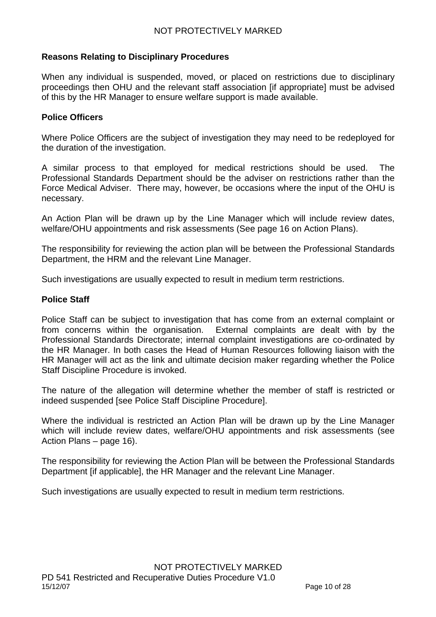### <span id="page-9-0"></span>**Reasons Relating to Disciplinary Procedures**

When any individual is suspended, moved, or placed on restrictions due to disciplinary proceedings then OHU and the relevant staff association [if appropriate] must be advised of this by the HR Manager to ensure welfare support is made available.

### <span id="page-9-1"></span>**Police Officers**

Where Police Officers are the subject of investigation they may need to be redeployed for the duration of the investigation.

A similar process to that employed for medical restrictions should be used. The Professional Standards Department should be the adviser on restrictions rather than the Force Medical Adviser. There may, however, be occasions where the input of the OHU is necessary.

An Action Plan will be drawn up by the Line Manager which will include review dates, welfare/OHU appointments and risk assessments (See page 16 on Action Plans).

The responsibility for reviewing the action plan will be between the Professional Standards Department, the HRM and the relevant Line Manager.

Such investigations are usually expected to result in medium term restrictions.

#### <span id="page-9-2"></span>**Police Staff**

Police Staff can be subject to investigation that has come from an external complaint or from concerns within the organisation. External complaints are dealt with by the Professional Standards Directorate; internal complaint investigations are co-ordinated by the HR Manager. In both cases the Head of Human Resources following liaison with the HR Manager will act as the link and ultimate decision maker regarding whether the Police Staff Discipline Procedure is invoked.

The nature of the allegation will determine whether the member of staff is restricted or indeed suspended [see Police Staff Discipline Procedure].

Where the individual is restricted an Action Plan will be drawn up by the Line Manager which will include review dates, welfare/OHU appointments and risk assessments (see Action Plans – page 16).

The responsibility for reviewing the Action Plan will be between the Professional Standards Department [if applicable], the HR Manager and the relevant Line Manager.

Such investigations are usually expected to result in medium term restrictions.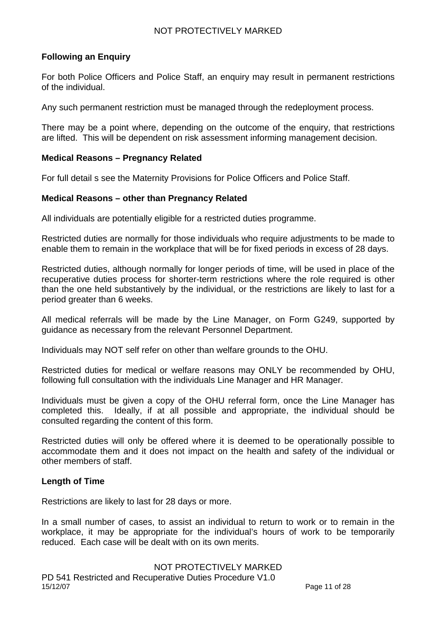### <span id="page-10-0"></span>**Following an Enquiry**

For both Police Officers and Police Staff, an enquiry may result in permanent restrictions of the individual.

Any such permanent restriction must be managed through the redeployment process.

There may be a point where, depending on the outcome of the enquiry, that restrictions are lifted. This will be dependent on risk assessment informing management decision.

#### <span id="page-10-1"></span>**Medical Reasons – Pregnancy Related**

For full detail s see the Maternity Provisions for Police Officers and Police Staff.

#### <span id="page-10-2"></span>**Medical Reasons – other than Pregnancy Related**

All individuals are potentially eligible for a restricted duties programme.

Restricted duties are normally for those individuals who require adjustments to be made to enable them to remain in the workplace that will be for fixed periods in excess of 28 days.

Restricted duties, although normally for longer periods of time, will be used in place of the recuperative duties process for shorter-term restrictions where the role required is other than the one held substantively by the individual, or the restrictions are likely to last for a period greater than 6 weeks.

All medical referrals will be made by the Line Manager, on Form G249, supported by guidance as necessary from the relevant Personnel Department.

Individuals may NOT self refer on other than welfare grounds to the OHU.

Restricted duties for medical or welfare reasons may ONLY be recommended by OHU, following full consultation with the individuals Line Manager and HR Manager.

Individuals must be given a copy of the OHU referral form, once the Line Manager has completed this. Ideally, if at all possible and appropriate, the individual should be consulted regarding the content of this form.

Restricted duties will only be offered where it is deemed to be operationally possible to accommodate them and it does not impact on the health and safety of the individual or other members of staff.

#### <span id="page-10-3"></span>**Length of Time**

Restrictions are likely to last for 28 days or more.

In a small number of cases, to assist an individual to return to work or to remain in the workplace, it may be appropriate for the individual's hours of work to be temporarily reduced. Each case will be dealt with on its own merits.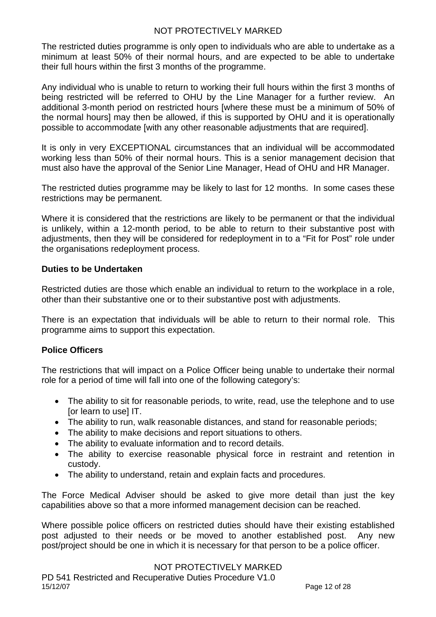The restricted duties programme is only open to individuals who are able to undertake as a minimum at least 50% of their normal hours, and are expected to be able to undertake their full hours within the first 3 months of the programme.

Any individual who is unable to return to working their full hours within the first 3 months of being restricted will be referred to OHU by the Line Manager for a further review. An additional 3-month period on restricted hours [where these must be a minimum of 50% of the normal hours] may then be allowed, if this is supported by OHU and it is operationally possible to accommodate [with any other reasonable adjustments that are required].

It is only in very EXCEPTIONAL circumstances that an individual will be accommodated working less than 50% of their normal hours. This is a senior management decision that must also have the approval of the Senior Line Manager, Head of OHU and HR Manager.

The restricted duties programme may be likely to last for 12 months. In some cases these restrictions may be permanent.

Where it is considered that the restrictions are likely to be permanent or that the individual is unlikely, within a 12-month period, to be able to return to their substantive post with adjustments, then they will be considered for redeployment in to a "Fit for Post" role under the organisations redeployment process.

### <span id="page-11-0"></span>**Duties to be Undertaken**

Restricted duties are those which enable an individual to return to the workplace in a role, other than their substantive one or to their substantive post with adjustments.

There is an expectation that individuals will be able to return to their normal role. This programme aims to support this expectation.

### <span id="page-11-1"></span>**Police Officers**

The restrictions that will impact on a Police Officer being unable to undertake their normal role for a period of time will fall into one of the following category's:

- The ability to sit for reasonable periods, to write, read, use the telephone and to use [or learn to use] IT.
- The ability to run, walk reasonable distances, and stand for reasonable periods;
- The ability to make decisions and report situations to others.
- The ability to evaluate information and to record details.
- The ability to exercise reasonable physical force in restraint and retention in custody.
- The ability to understand, retain and explain facts and procedures.

The Force Medical Adviser should be asked to give more detail than just the key capabilities above so that a more informed management decision can be reached.

Where possible police officers on restricted duties should have their existing established post adjusted to their needs or be moved to another established post. Any new post/project should be one in which it is necessary for that person to be a police officer.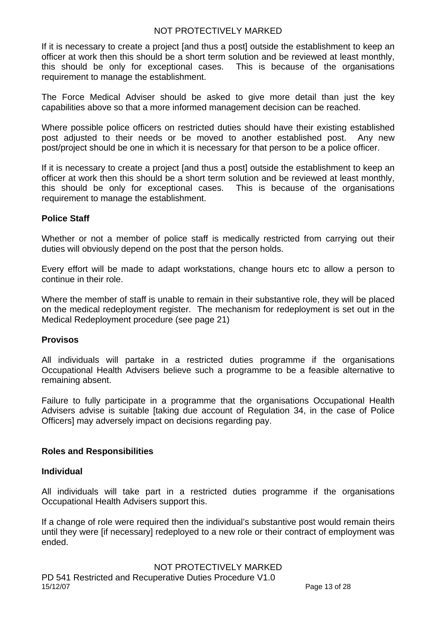If it is necessary to create a project [and thus a post] outside the establishment to keep an officer at work then this should be a short term solution and be reviewed at least monthly, this should be only for exceptional cases. This is because of the organisations requirement to manage the establishment.

The Force Medical Adviser should be asked to give more detail than just the key capabilities above so that a more informed management decision can be reached.

Where possible police officers on restricted duties should have their existing established post adjusted to their needs or be moved to another established post. Any new post/project should be one in which it is necessary for that person to be a police officer.

If it is necessary to create a project [and thus a post] outside the establishment to keep an officer at work then this should be a short term solution and be reviewed at least monthly, this should be only for exceptional cases. This is because of the organisations requirement to manage the establishment.

### <span id="page-12-0"></span>**Police Staff**

Whether or not a member of police staff is medically restricted from carrying out their duties will obviously depend on the post that the person holds.

Every effort will be made to adapt workstations, change hours etc to allow a person to continue in their role.

Where the member of staff is unable to remain in their substantive role, they will be placed on the medical redeployment register. The mechanism for redeployment is set out in the Medical Redeployment procedure (see page 21)

### <span id="page-12-1"></span>**Provisos**

All individuals will partake in a restricted duties programme if the organisations Occupational Health Advisers believe such a programme to be a feasible alternative to remaining absent.

Failure to fully participate in a programme that the organisations Occupational Health Advisers advise is suitable [taking due account of Regulation 34, in the case of Police Officers] may adversely impact on decisions regarding pay.

### <span id="page-12-2"></span>**Roles and Responsibilities**

### <span id="page-12-3"></span>**Individual**

All individuals will take part in a restricted duties programme if the organisations Occupational Health Advisers support this.

If a change of role were required then the individual's substantive post would remain theirs until they were [if necessary] redeployed to a new role or their contract of employment was ended.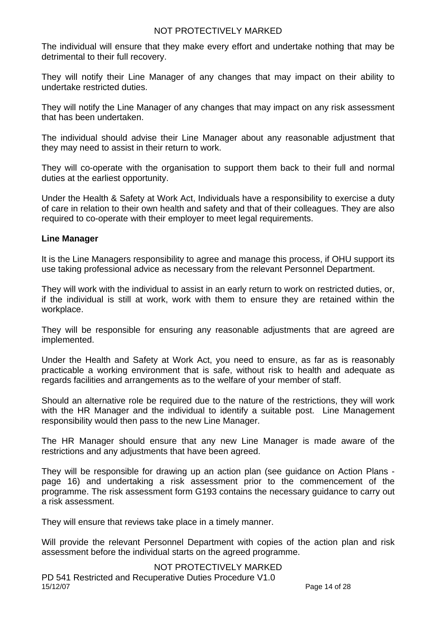The individual will ensure that they make every effort and undertake nothing that may be detrimental to their full recovery.

They will notify their Line Manager of any changes that may impact on their ability to undertake restricted duties.

They will notify the Line Manager of any changes that may impact on any risk assessment that has been undertaken.

The individual should advise their Line Manager about any reasonable adjustment that they may need to assist in their return to work.

They will co-operate with the organisation to support them back to their full and normal duties at the earliest opportunity.

Under the Health & Safety at Work Act, Individuals have a responsibility to exercise a duty of care in relation to their own health and safety and that of their colleagues. They are also required to co-operate with their employer to meet legal requirements.

### <span id="page-13-0"></span>**Line Manager**

It is the Line Managers responsibility to agree and manage this process, if OHU support its use taking professional advice as necessary from the relevant Personnel Department.

They will work with the individual to assist in an early return to work on restricted duties, or, if the individual is still at work, work with them to ensure they are retained within the workplace.

They will be responsible for ensuring any reasonable adjustments that are agreed are implemented.

Under the Health and Safety at Work Act, you need to ensure, as far as is reasonably practicable a working environment that is safe, without risk to health and adequate as regards facilities and arrangements as to the welfare of your member of staff.

Should an alternative role be required due to the nature of the restrictions, they will work with the HR Manager and the individual to identify a suitable post. Line Management responsibility would then pass to the new Line Manager.

The HR Manager should ensure that any new Line Manager is made aware of the restrictions and any adjustments that have been agreed.

They will be responsible for drawing up an action plan (see guidance on Action Plans page 16) and undertaking a risk assessment prior to the commencement of the programme. The risk assessment form G193 contains the necessary guidance to carry out a risk assessment.

They will ensure that reviews take place in a timely manner.

Will provide the relevant Personnel Department with copies of the action plan and risk assessment before the individual starts on the agreed programme.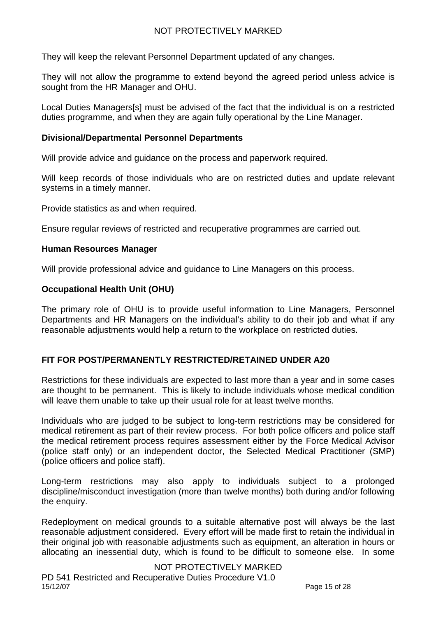They will keep the relevant Personnel Department updated of any changes.

They will not allow the programme to extend beyond the agreed period unless advice is sought from the HR Manager and OHU.

Local Duties Managers[s] must be advised of the fact that the individual is on a restricted duties programme, and when they are again fully operational by the Line Manager.

### <span id="page-14-0"></span>**Divisional/Departmental Personnel Departments**

Will provide advice and guidance on the process and paperwork required.

Will keep records of those individuals who are on restricted duties and update relevant systems in a timely manner.

Provide statistics as and when required.

Ensure regular reviews of restricted and recuperative programmes are carried out.

#### <span id="page-14-1"></span>**Human Resources Manager**

Will provide professional advice and guidance to Line Managers on this process.

#### <span id="page-14-2"></span>**Occupational Health Unit (OHU)**

The primary role of OHU is to provide useful information to Line Managers, Personnel Departments and HR Managers on the individual's ability to do their job and what if any reasonable adjustments would help a return to the workplace on restricted duties.

### <span id="page-14-3"></span>**FIT FOR POST/PERMANENTLY RESTRICTED/RETAINED UNDER A20**

Restrictions for these individuals are expected to last more than a year and in some cases are thought to be permanent. This is likely to include individuals whose medical condition will leave them unable to take up their usual role for at least twelve months.

Individuals who are judged to be subject to long-term restrictions may be considered for medical retirement as part of their review process. For both police officers and police staff the medical retirement process requires assessment either by the Force Medical Advisor (police staff only) or an independent doctor, the Selected Medical Practitioner (SMP) (police officers and police staff).

Long-term restrictions may also apply to individuals subject to a prolonged discipline/misconduct investigation (more than twelve months) both during and/or following the enquiry.

Redeployment on medical grounds to a suitable alternative post will always be the last reasonable adjustment considered. Every effort will be made first to retain the individual in their original job with reasonable adjustments such as equipment, an alteration in hours or allocating an inessential duty, which is found to be difficult to someone else. In some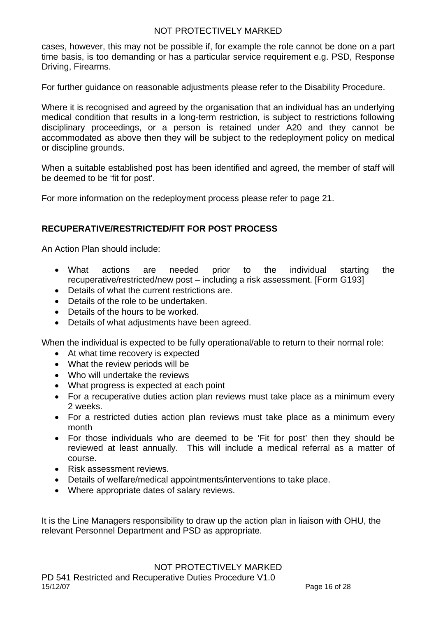cases, however, this may not be possible if, for example the role cannot be done on a part time basis, is too demanding or has a particular service requirement e.g. PSD, Response Driving, Firearms.

For further guidance on reasonable adjustments please refer to the Disability Procedure.

Where it is recognised and agreed by the organisation that an individual has an underlying medical condition that results in a long-term restriction, is subject to restrictions following disciplinary proceedings, or a person is retained under A20 and they cannot be accommodated as above then they will be subject to the redeployment policy on medical or discipline grounds.

When a suitable established post has been identified and agreed, the member of staff will be deemed to be 'fit for post'.

For more information on the redeployment process please refer to page 21.

### <span id="page-15-0"></span>**RECUPERATIVE/RESTRICTED/FIT FOR POST PROCESS**

An Action Plan should include:

- What actions are needed prior to the individual starting the recuperative/restricted/new post – including a risk assessment. [Form G193]
- Details of what the current restrictions are.
- Details of the role to be undertaken.
- Details of the hours to be worked.
- Details of what adjustments have been agreed.

When the individual is expected to be fully operational/able to return to their normal role:

- At what time recovery is expected
- What the review periods will be
- Who will undertake the reviews
- What progress is expected at each point
- For a recuperative duties action plan reviews must take place as a minimum every 2 weeks.
- For a restricted duties action plan reviews must take place as a minimum every month
- For those individuals who are deemed to be 'Fit for post' then they should be reviewed at least annually. This will include a medical referral as a matter of course.
- Risk assessment reviews.
- Details of welfare/medical appointments/interventions to take place.
- Where appropriate dates of salary reviews.

It is the Line Managers responsibility to draw up the action plan in liaison with OHU, the relevant Personnel Department and PSD as appropriate.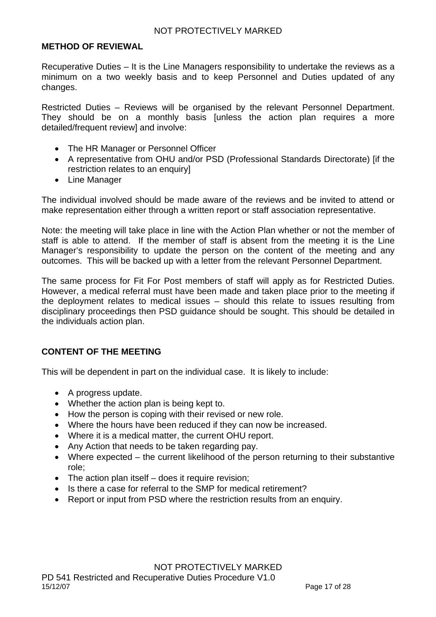#### <span id="page-16-0"></span>**METHOD OF REVIEWAL**

Recuperative Duties – It is the Line Managers responsibility to undertake the reviews as a minimum on a two weekly basis and to keep Personnel and Duties updated of any changes.

Restricted Duties – Reviews will be organised by the relevant Personnel Department. They should be on a monthly basis [unless the action plan requires a more detailed/frequent review] and involve:

- The HR Manager or Personnel Officer
- A representative from OHU and/or PSD (Professional Standards Directorate) [if the restriction relates to an enquiry]
- Line Manager

The individual involved should be made aware of the reviews and be invited to attend or make representation either through a written report or staff association representative.

Note: the meeting will take place in line with the Action Plan whether or not the member of staff is able to attend. If the member of staff is absent from the meeting it is the Line Manager's responsibility to update the person on the content of the meeting and any outcomes. This will be backed up with a letter from the relevant Personnel Department.

The same process for Fit For Post members of staff will apply as for Restricted Duties. However, a medical referral must have been made and taken place prior to the meeting if the deployment relates to medical issues – should this relate to issues resulting from disciplinary proceedings then PSD guidance should be sought. This should be detailed in the individuals action plan.

## <span id="page-16-1"></span>**CONTENT OF THE MEETING**

This will be dependent in part on the individual case. It is likely to include:

- A progress update.
- Whether the action plan is being kept to.
- How the person is coping with their revised or new role.
- Where the hours have been reduced if they can now be increased.
- Where it is a medical matter, the current OHU report.
- Any Action that needs to be taken regarding pay.
- Where expected the current likelihood of the person returning to their substantive role;
- The action plan itself does it require revision;
- Is there a case for referral to the SMP for medical retirement?
- Report or input from PSD where the restriction results from an enquiry.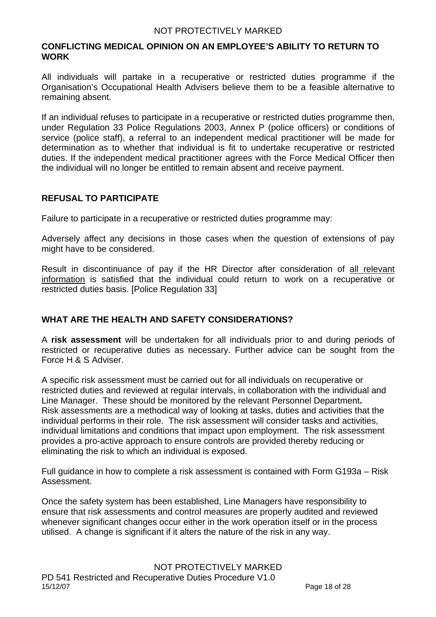#### <span id="page-17-0"></span>**CONFLICTING MEDICAL OPINION ON AN EMPLOYEE'S ABILITY TO RETURN TO WORK**

All individuals will partake in a recuperative or restricted duties programme if the Organisation's Occupational Health Advisers believe them to be a feasible alternative to remaining absent.

If an individual refuses to participate in a recuperative or restricted duties programme then, under Regulation 33 Police Regulations 2003, Annex P (police officers) or conditions of service (police staff), a referral to an independent medical practitioner will be made for determination as to whether that individual is fit to undertake recuperative or restricted duties. If the independent medical practitioner agrees with the Force Medical Officer then the individual will no longer be entitled to remain absent and receive payment.

### <span id="page-17-1"></span>**REFUSAL TO PARTICIPATE**

Failure to participate in a recuperative or restricted duties programme may:

Adversely affect any decisions in those cases when the question of extensions of pay might have to be considered.

Result in discontinuance of pay if the HR Director after consideration of all relevant information is satisfied that the individual could return to work on a recuperative or restricted duties basis. [Police Regulation 33]

## <span id="page-17-2"></span>**WHAT ARE THE HEALTH AND SAFETY CONSIDERATIONS?**

A **risk assessment** will be undertaken for all individuals prior to and during periods of restricted or recuperative duties as necessary. Further advice can be sought from the Force H & S Adviser.

A specific risk assessment must be carried out for all individuals on recuperative or restricted duties and reviewed at regular intervals, in collaboration with the individual and Line Manager. These should be monitored by the relevant Personnel Department**.** Risk assessments are a methodical way of looking at tasks, duties and activities that the individual performs in their role. The risk assessment will consider tasks and activities, individual limitations and conditions that impact upon employment. The risk assessment provides a pro-active approach to ensure controls are provided thereby reducing or eliminating the risk to which an individual is exposed.

Full guidance in how to complete a risk assessment is contained with Form G193a – Risk Assessment.

Once the safety system has been established, Line Managers have responsibility to ensure that risk assessments and control measures are properly audited and reviewed whenever significant changes occur either in the work operation itself or in the process utilised. A change is significant if it alters the nature of the risk in any way.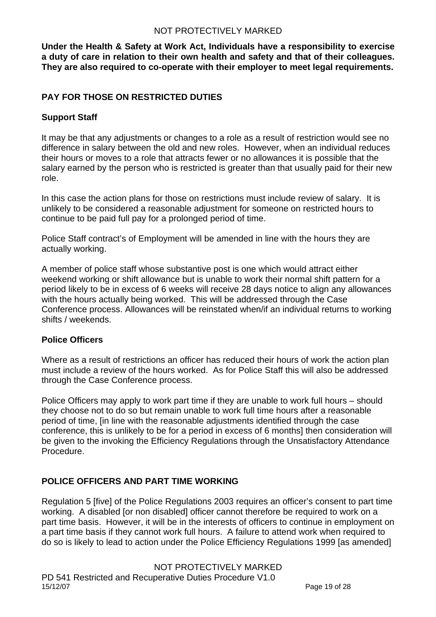**Under the Health & Safety at Work Act, Individuals have a responsibility to exercise a duty of care in relation to their own health and safety and that of their colleagues. They are also required to co-operate with their employer to meet legal requirements.** 

### <span id="page-18-0"></span>**PAY FOR THOSE ON RESTRICTED DUTIES**

### <span id="page-18-1"></span>**Support Staff**

It may be that any adjustments or changes to a role as a result of restriction would see no difference in salary between the old and new roles. However, when an individual reduces their hours or moves to a role that attracts fewer or no allowances it is possible that the salary earned by the person who is restricted is greater than that usually paid for their new role.

In this case the action plans for those on restrictions must include review of salary. It is unlikely to be considered a reasonable adjustment for someone on restricted hours to continue to be paid full pay for a prolonged period of time.

Police Staff contract's of Employment will be amended in line with the hours they are actually working.

A member of police staff whose substantive post is one which would attract either weekend working or shift allowance but is unable to work their normal shift pattern for a period likely to be in excess of 6 weeks will receive 28 days notice to align any allowances with the hours actually being worked. This will be addressed through the Case Conference process. Allowances will be reinstated when/if an individual returns to working shifts / weekends.

### <span id="page-18-2"></span>**Police Officers**

Where as a result of restrictions an officer has reduced their hours of work the action plan must include a review of the hours worked. As for Police Staff this will also be addressed through the Case Conference process.

Police Officers may apply to work part time if they are unable to work full hours – should they choose not to do so but remain unable to work full time hours after a reasonable period of time, [in line with the reasonable adjustments identified through the case conference, this is unlikely to be for a period in excess of 6 months] then consideration will be given to the invoking the Efficiency Regulations through the Unsatisfactory Attendance Procedure.

## <span id="page-18-3"></span>**POLICE OFFICERS AND PART TIME WORKING**

Regulation 5 [five] of the Police Regulations 2003 requires an officer's consent to part time working. A disabled [or non disabled] officer cannot therefore be required to work on a part time basis. However, it will be in the interests of officers to continue in employment on a part time basis if they cannot work full hours. A failure to attend work when required to do so is likely to lead to action under the Police Efficiency Regulations 1999 [as amended]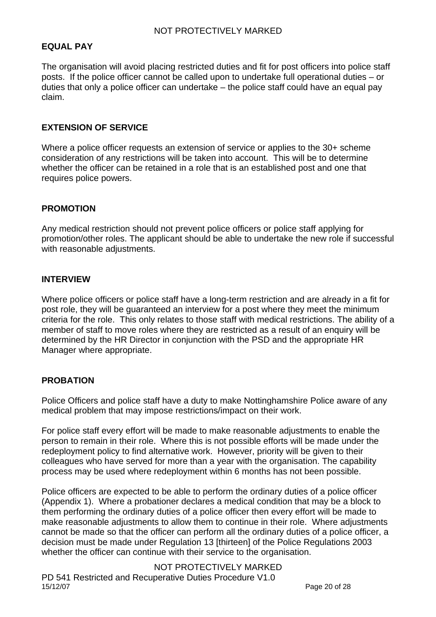### <span id="page-19-0"></span>**EQUAL PAY**

The organisation will avoid placing restricted duties and fit for post officers into police staff posts. If the police officer cannot be called upon to undertake full operational duties – or duties that only a police officer can undertake – the police staff could have an equal pay claim.

#### <span id="page-19-1"></span>**EXTENSION OF SERVICE**

Where a police officer requests an extension of service or applies to the 30+ scheme consideration of any restrictions will be taken into account. This will be to determine whether the officer can be retained in a role that is an established post and one that requires police powers.

#### <span id="page-19-2"></span>**PROMOTION**

Any medical restriction should not prevent police officers or police staff applying for promotion/other roles. The applicant should be able to undertake the new role if successful with reasonable adjustments.

#### <span id="page-19-3"></span>**INTERVIEW**

Where police officers or police staff have a long-term restriction and are already in a fit for post role, they will be guaranteed an interview for a post where they meet the minimum criteria for the role. This only relates to those staff with medical restrictions. The ability of a member of staff to move roles where they are restricted as a result of an enquiry will be determined by the HR Director in conjunction with the PSD and the appropriate HR Manager where appropriate.

### <span id="page-19-4"></span>**PROBATION**

Police Officers and police staff have a duty to make Nottinghamshire Police aware of any medical problem that may impose restrictions/impact on their work.

For police staff every effort will be made to make reasonable adjustments to enable the person to remain in their role. Where this is not possible efforts will be made under the redeployment policy to find alternative work. However, priority will be given to their colleagues who have served for more than a year with the organisation. The capability process may be used where redeployment within 6 months has not been possible.

Police officers are expected to be able to perform the ordinary duties of a police officer (Appendix 1). Where a probationer declares a medical condition that may be a block to them performing the ordinary duties of a police officer then every effort will be made to make reasonable adjustments to allow them to continue in their role. Where adjustments cannot be made so that the officer can perform all the ordinary duties of a police officer, a decision must be made under Regulation 13 [thirteen] of the Police Regulations 2003 whether the officer can continue with their service to the organisation.

NOT PROTECTIVELY MARKED PD 541 Restricted and Recuperative Duties Procedure V1.0 15/12/07 Page 20 of 28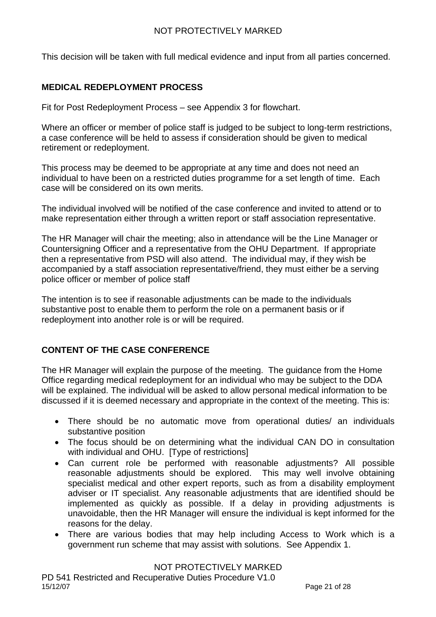This decision will be taken with full medical evidence and input from all parties concerned.

### <span id="page-20-0"></span>**MEDICAL REDEPLOYMENT PROCESS**

Fit for Post Redeployment Process – see Appendix 3 for flowchart.

Where an officer or member of police staff is judged to be subject to long-term restrictions, a case conference will be held to assess if consideration should be given to medical retirement or redeployment.

This process may be deemed to be appropriate at any time and does not need an individual to have been on a restricted duties programme for a set length of time. Each case will be considered on its own merits.

The individual involved will be notified of the case conference and invited to attend or to make representation either through a written report or staff association representative.

The HR Manager will chair the meeting; also in attendance will be the Line Manager or Countersigning Officer and a representative from the OHU Department. If appropriate then a representative from PSD will also attend. The individual may, if they wish be accompanied by a staff association representative/friend, they must either be a serving police officer or member of police staff

The intention is to see if reasonable adjustments can be made to the individuals substantive post to enable them to perform the role on a permanent basis or if redeployment into another role is or will be required.

## <span id="page-20-1"></span>**CONTENT OF THE CASE CONFERENCE**

The HR Manager will explain the purpose of the meeting. The guidance from the Home Office regarding medical redeployment for an individual who may be subject to the DDA will be explained. The individual will be asked to allow personal medical information to be discussed if it is deemed necessary and appropriate in the context of the meeting. This is:

- There should be no automatic move from operational duties/ an individuals substantive position
- The focus should be on determining what the individual CAN DO in consultation with individual and OHU. [Type of restrictions]
- Can current role be performed with reasonable adjustments? All possible reasonable adjustments should be explored. This may well involve obtaining specialist medical and other expert reports, such as from a disability employment adviser or IT specialist. Any reasonable adjustments that are identified should be implemented as quickly as possible. If a delay in providing adjustments is unavoidable, then the HR Manager will ensure the individual is kept informed for the reasons for the delay.
- There are various bodies that may help including Access to Work which is a government run scheme that may assist with solutions. See Appendix 1.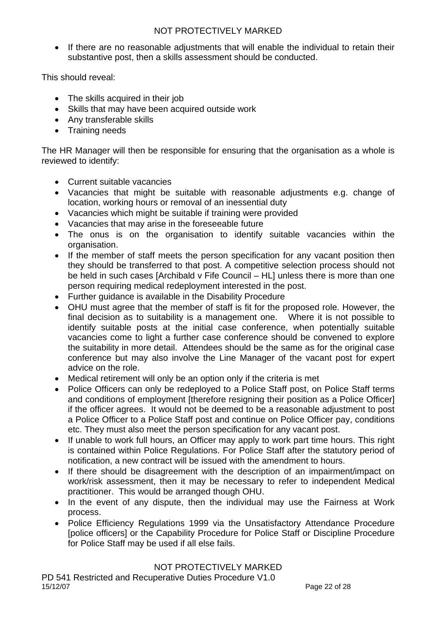• If there are no reasonable adjustments that will enable the individual to retain their substantive post, then a skills assessment should be conducted.

This should reveal:

- The skills acquired in their job
- Skills that may have been acquired outside work
- Any transferable skills
- Training needs

The HR Manager will then be responsible for ensuring that the organisation as a whole is reviewed to identify:

- Current suitable vacancies
- Vacancies that might be suitable with reasonable adjustments e.g. change of location, working hours or removal of an inessential duty
- Vacancies which might be suitable if training were provided
- Vacancies that may arise in the foreseeable future
- The onus is on the organisation to identify suitable vacancies within the organisation.
- If the member of staff meets the person specification for any vacant position then they should be transferred to that post. A competitive selection process should not be held in such cases [Archibald v Fife Council – HL] unless there is more than one person requiring medical redeployment interested in the post.
- Further guidance is available in the Disability Procedure
- OHU must agree that the member of staff is fit for the proposed role. However, the final decision as to suitability is a management one. Where it is not possible to identify suitable posts at the initial case conference, when potentially suitable vacancies come to light a further case conference should be convened to explore the suitability in more detail. Attendees should be the same as for the original case conference but may also involve the Line Manager of the vacant post for expert advice on the role.
- Medical retirement will only be an option only if the criteria is met
- Police Officers can only be redeployed to a Police Staff post, on Police Staff terms and conditions of employment [therefore resigning their position as a Police Officer] if the officer agrees. It would not be deemed to be a reasonable adjustment to post a Police Officer to a Police Staff post and continue on Police Officer pay, conditions etc. They must also meet the person specification for any vacant post.
- If unable to work full hours, an Officer may apply to work part time hours. This right is contained within Police Regulations. For Police Staff after the statutory period of notification, a new contract will be issued with the amendment to hours.
- If there should be disagreement with the description of an impairment/impact on work/risk assessment, then it may be necessary to refer to independent Medical practitioner. This would be arranged though OHU.
- In the event of any dispute, then the individual may use the Fairness at Work process.
- Police Efficiency Regulations 1999 via the Unsatisfactory Attendance Procedure [police officers] or the Capability Procedure for Police Staff or Discipline Procedure for Police Staff may be used if all else fails.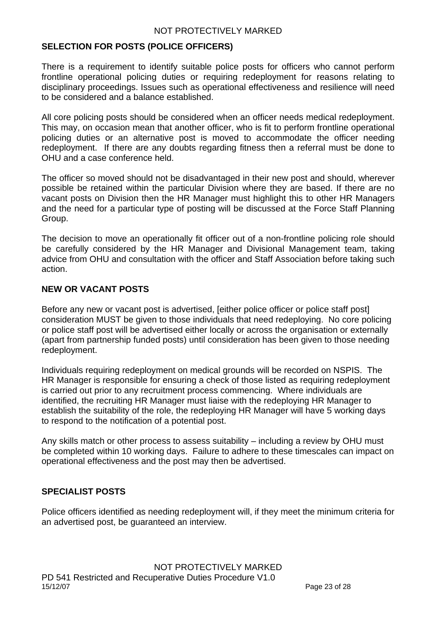## <span id="page-22-0"></span>**SELECTION FOR POSTS (POLICE OFFICERS)**

There is a requirement to identify suitable police posts for officers who cannot perform frontline operational policing duties or requiring redeployment for reasons relating to disciplinary proceedings. Issues such as operational effectiveness and resilience will need to be considered and a balance established.

All core policing posts should be considered when an officer needs medical redeployment. This may, on occasion mean that another officer, who is fit to perform frontline operational policing duties or an alternative post is moved to accommodate the officer needing redeployment. If there are any doubts regarding fitness then a referral must be done to OHU and a case conference held.

The officer so moved should not be disadvantaged in their new post and should, wherever possible be retained within the particular Division where they are based. If there are no vacant posts on Division then the HR Manager must highlight this to other HR Managers and the need for a particular type of posting will be discussed at the Force Staff Planning Group.

The decision to move an operationally fit officer out of a non-frontline policing role should be carefully considered by the HR Manager and Divisional Management team, taking advice from OHU and consultation with the officer and Staff Association before taking such action.

### <span id="page-22-1"></span>**NEW OR VACANT POSTS**

Before any new or vacant post is advertised, [either police officer or police staff post] consideration MUST be given to those individuals that need redeploying. No core policing or police staff post will be advertised either locally or across the organisation or externally (apart from partnership funded posts) until consideration has been given to those needing redeployment.

Individuals requiring redeployment on medical grounds will be recorded on NSPIS. The HR Manager is responsible for ensuring a check of those listed as requiring redeployment is carried out prior to any recruitment process commencing. Where individuals are identified, the recruiting HR Manager must liaise with the redeploying HR Manager to establish the suitability of the role, the redeploying HR Manager will have 5 working days to respond to the notification of a potential post.

Any skills match or other process to assess suitability – including a review by OHU must be completed within 10 working days. Failure to adhere to these timescales can impact on operational effectiveness and the post may then be advertised.

### <span id="page-22-2"></span>**SPECIALIST POSTS**

Police officers identified as needing redeployment will, if they meet the minimum criteria for an advertised post, be guaranteed an interview.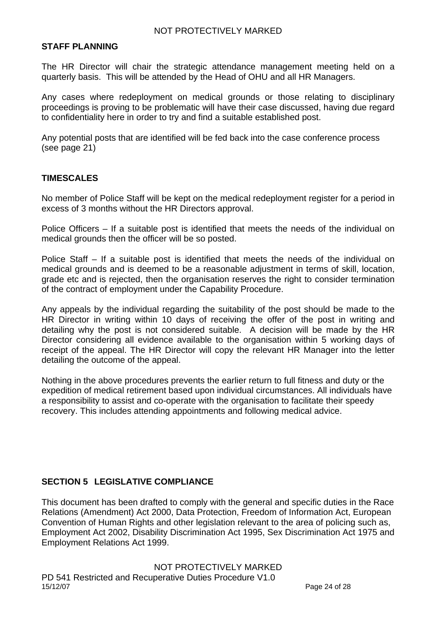#### <span id="page-23-0"></span>**STAFF PLANNING**

The HR Director will chair the strategic attendance management meeting held on a quarterly basis. This will be attended by the Head of OHU and all HR Managers.

Any cases where redeployment on medical grounds or those relating to disciplinary proceedings is proving to be problematic will have their case discussed, having due regard to confidentiality here in order to try and find a suitable established post.

Any potential posts that are identified will be fed back into the case conference process (see page 21)

### <span id="page-23-1"></span>**TIMESCALES**

No member of Police Staff will be kept on the medical redeployment register for a period in excess of 3 months without the HR Directors approval.

Police Officers – If a suitable post is identified that meets the needs of the individual on medical grounds then the officer will be so posted.

Police Staff – If a suitable post is identified that meets the needs of the individual on medical grounds and is deemed to be a reasonable adjustment in terms of skill, location, grade etc and is rejected, then the organisation reserves the right to consider termination of the contract of employment under the Capability Procedure.

Any appeals by the individual regarding the suitability of the post should be made to the HR Director in writing within 10 days of receiving the offer of the post in writing and detailing why the post is not considered suitable. A decision will be made by the HR Director considering all evidence available to the organisation within 5 working days of receipt of the appeal. The HR Director will copy the relevant HR Manager into the letter detailing the outcome of the appeal.

Nothing in the above procedures prevents the earlier return to full fitness and duty or the expedition of medical retirement based upon individual circumstances. All individuals have a responsibility to assist and co-operate with the organisation to facilitate their speedy recovery. This includes attending appointments and following medical advice.

### <span id="page-23-2"></span>**SECTION 5 LEGISLATIVE COMPLIANCE**

This document has been drafted to comply with the general and specific duties in the Race Relations (Amendment) Act 2000, Data Protection, Freedom of Information Act, European Convention of Human Rights and other legislation relevant to the area of policing such as, Employment Act 2002, Disability Discrimination Act 1995, Sex Discrimination Act 1975 and Employment Relations Act 1999.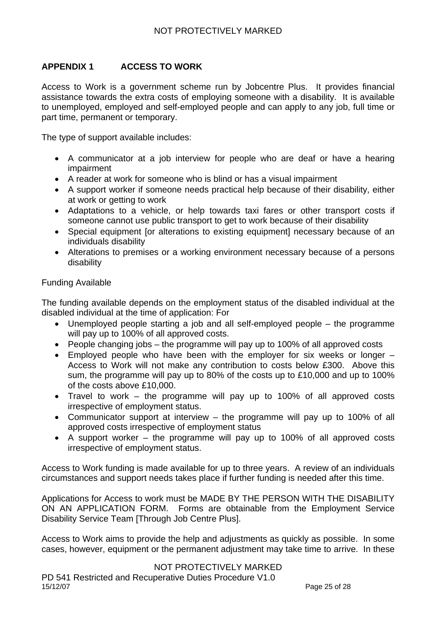# <span id="page-24-0"></span>**APPENDIX 1 ACCESS TO WORK**

Access to Work is a government scheme run by Jobcentre Plus. It provides financial assistance towards the extra costs of employing someone with a disability. It is available to unemployed, employed and self-employed people and can apply to any job, full time or part time, permanent or temporary.

The type of support available includes:

- A communicator at a job interview for people who are deaf or have a hearing impairment
- A reader at work for someone who is blind or has a visual impairment
- A support worker if someone needs practical help because of their disability, either at work or getting to work
- Adaptations to a vehicle, or help towards taxi fares or other transport costs if someone cannot use public transport to get to work because of their disability
- Special equipment for alterations to existing equipment] necessary because of an individuals disability
- Alterations to premises or a working environment necessary because of a persons disability

### Funding Available

The funding available depends on the employment status of the disabled individual at the disabled individual at the time of application: For

- Unemployed people starting a job and all self-employed people the programme will pay up to 100% of all approved costs.
- People changing jobs the programme will pay up to 100% of all approved costs
- $\bullet$  Employed people who have been with the employer for six weeks or longer  $-$ Access to Work will not make any contribution to costs below £300. Above this sum, the programme will pay up to 80% of the costs up to £10,000 and up to 100% of the costs above £10,000.
- Travel to work the programme will pay up to 100% of all approved costs irrespective of employment status.
- Communicator support at interview the programme will pay up to 100% of all approved costs irrespective of employment status
- A support worker the programme will pay up to 100% of all approved costs irrespective of employment status.

Access to Work funding is made available for up to three years. A review of an individuals circumstances and support needs takes place if further funding is needed after this time.

Applications for Access to work must be MADE BY THE PERSON WITH THE DISABILITY ON AN APPLICATION FORM. Forms are obtainable from the Employment Service Disability Service Team [Through Job Centre Plus].

Access to Work aims to provide the help and adjustments as quickly as possible. In some cases, however, equipment or the permanent adjustment may take time to arrive. In these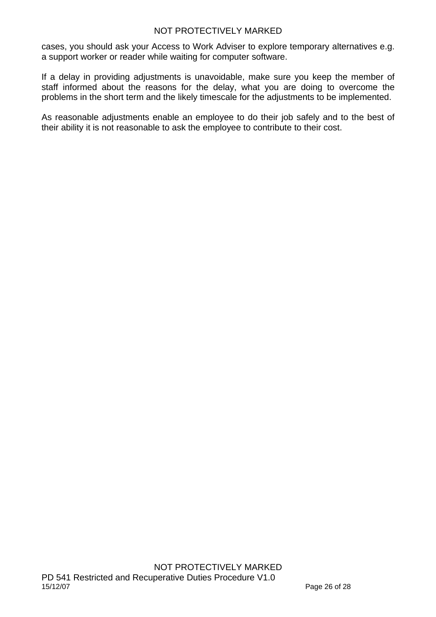cases, you should ask your Access to Work Adviser to explore temporary alternatives e.g. a support worker or reader while waiting for computer software.

If a delay in providing adjustments is unavoidable, make sure you keep the member of staff informed about the reasons for the delay, what you are doing to overcome the problems in the short term and the likely timescale for the adjustments to be implemented.

As reasonable adjustments enable an employee to do their job safely and to the best of their ability it is not reasonable to ask the employee to contribute to their cost.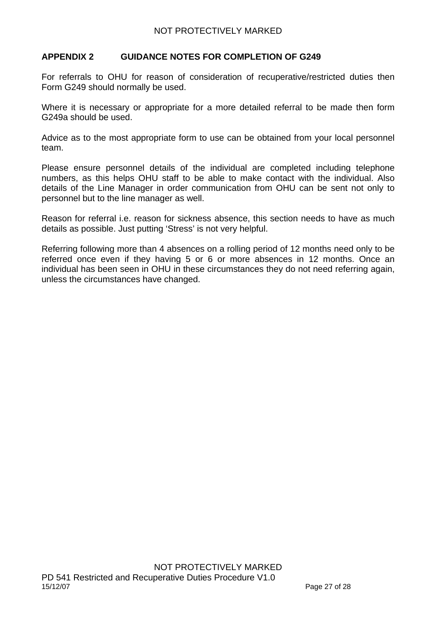## <span id="page-26-0"></span>**APPENDIX 2 GUIDANCE NOTES FOR COMPLETION OF G249**

For referrals to OHU for reason of consideration of recuperative/restricted duties then Form G249 should normally be used.

Where it is necessary or appropriate for a more detailed referral to be made then form G249a should be used.

Advice as to the most appropriate form to use can be obtained from your local personnel team.

Please ensure personnel details of the individual are completed including telephone numbers, as this helps OHU staff to be able to make contact with the individual. Also details of the Line Manager in order communication from OHU can be sent not only to personnel but to the line manager as well.

Reason for referral i.e. reason for sickness absence, this section needs to have as much details as possible. Just putting 'Stress' is not very helpful.

Referring following more than 4 absences on a rolling period of 12 months need only to be referred once even if they having 5 or 6 or more absences in 12 months. Once an individual has been seen in OHU in these circumstances they do not need referring again, unless the circumstances have changed.